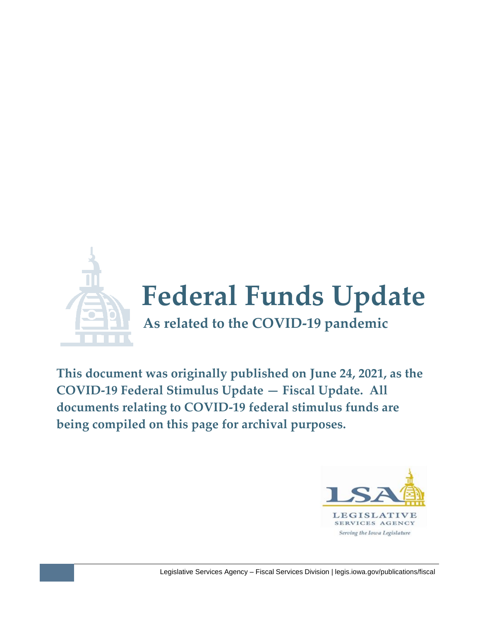

**This document was originally published on June 24, 2021, as the COVID-19 Federal Stimulus Update — Fiscal Update. All documents relating to COVID-19 federal stimulus funds are being compiled on this page for archival purposes.**

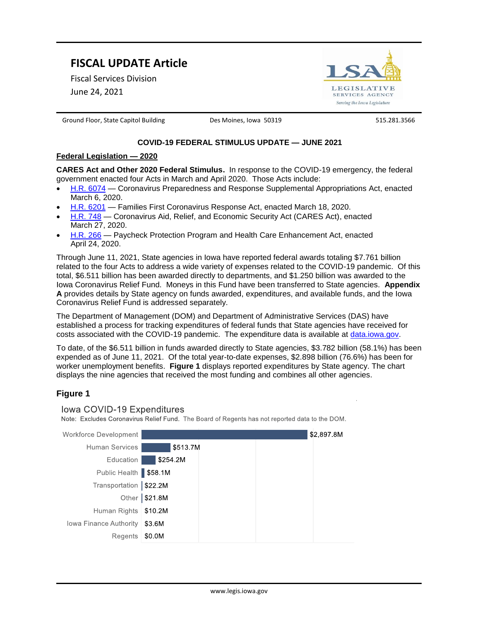# **FISCAL UPDATE Article**

Fiscal Services Division

June 24, 2021



Ground Floor, State Capitol Building **Des Moines, Iowa 50319** 515.281.3566

# **COVID-19 FEDERAL STIMULUS UPDATE — JUNE 2021**

## **Federal Legislation — 2020**

**CARES Act and Other 2020 Federal Stimulus.** In response to the COVID-19 emergency, the federal government enacted four Acts in March and April 2020. Those Acts include:

- [H.R. 6074](https://www.congress.gov/116/plaws/publ123/PLAW-116publ123.pdf) Coronavirus Preparedness and Response Supplemental Appropriations Act, enacted March 6, 2020.
- [H.R. 6201](https://www.congress.gov/116/bills/hr6201/BILLS-116hr6201enr.pdf) Families First Coronavirus Response Act, enacted March 18, 2020.
- [H.R. 748](https://www.congress.gov/116/bills/hr748/BILLS-116hr748enr.pdf) Coronavirus Aid, Relief, and Economic Security Act (CARES Act), enacted March 27, 2020.
- [H.R. 266](https://www.congress.gov/116/bills/hr266/BILLS-116hr266enr.pdf) Paycheck Protection Program and Health Care Enhancement Act, enacted April 24, 2020.

Through June 11, 2021, State agencies in Iowa have reported federal awards totaling \$7.761 billion related to the four Acts to address a wide variety of expenses related to the COVID-19 pandemic. Of this total, \$6.511 billion has been awarded directly to departments, and \$1.250 billion was awarded to the Iowa Coronavirus Relief Fund. Moneys in this Fund have been transferred to State agencies. **Appendix A** provides details by State agency on funds awarded, expenditures, and available funds, and the Iowa Coronavirus Relief Fund is addressed separately.

The Department of Management (DOM) and Department of Administrative Services (DAS) have established a process for tracking expenditures of federal funds that State agencies have received for costs associated with the COVID-19 pandemic. The expenditure data is available at [data.iowa.gov.](https://pandemic-recovery.iowa.gov/#!/dashboard)

To date, of the \$6.511 billion in funds awarded directly to State agencies, \$3.782 billion (58.1%) has been expended as of June 11, 2021. Of the total year-to-date expenses, \$2.898 billion (76.6%) has been for worker unemployment benefits. **Figure 1** displays reported expenditures by State agency. The chart displays the nine agencies that received the most funding and combines all other agencies.

# **Figure 1**



Regents | \$0.0M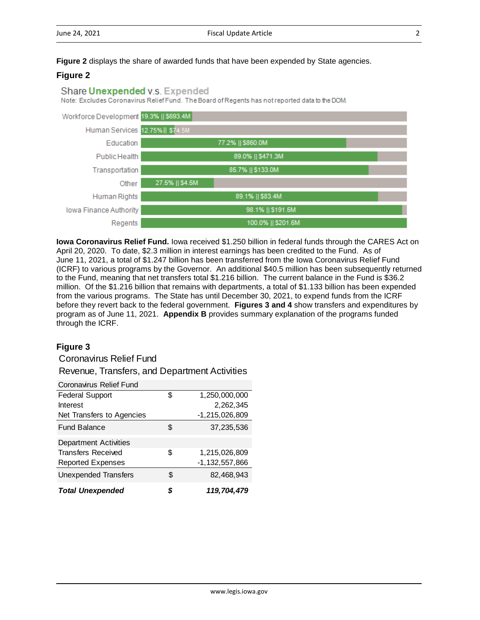**Figure 2** displays the share of awarded funds that have been expended by State agencies.

# **Figure 2**

## Share Unexpended v.s. Expended

Note: Excludes Coronavirus Relief Fund. The Board of Regents has not reported data to the DOM.



**Iowa Coronavirus Relief Fund.** Iowa received \$1.250 billion in federal funds through the CARES Act on April 20, 2020. To date, \$2.3 million in interest earnings has been credited to the Fund. As of June 11, 2021, a total of \$1.247 billion has been transferred from the Iowa Coronavirus Relief Fund (ICRF) to various programs by the Governor. An additional \$40.5 million has been subsequently returned to the Fund, meaning that net transfers total \$1.216 billion. The current balance in the Fund is \$36.2 million. Of the \$1.216 billion that remains with departments, a total of \$1.133 billion has been expended from the various programs. The State has until December 30, 2021, to expend funds from the ICRF before they revert back to the federal government. **Figures 3 and 4** show transfers and expenditures by program as of June 11, 2021. **Appendix B** provides summary explanation of the programs funded through the ICRF.

# **Figure 3**

Revenue, Transfers, and Department Activities Coronavirus Relief Fund

| <b>Coronavirus Relief Fund</b> |    |                     |
|--------------------------------|----|---------------------|
| <b>Federal Support</b>         | \$ | 1,250,000,000       |
| Interest                       |    | 2,262,345           |
| Net Transfers to Agencies      |    | $-1,215,026,809$    |
| <b>Fund Balance</b>            | S  | 37,235,536          |
| <b>Department Activities</b>   |    |                     |
| <b>Transfers Received</b>      | \$ | 1,215,026,809       |
| <b>Reported Expenses</b>       |    | $-1, 132, 557, 866$ |
| <b>Unexpended Transfers</b>    | \$ | 82,468,943          |
| <b>Total Unexpended</b>        | S  | 119,704,479         |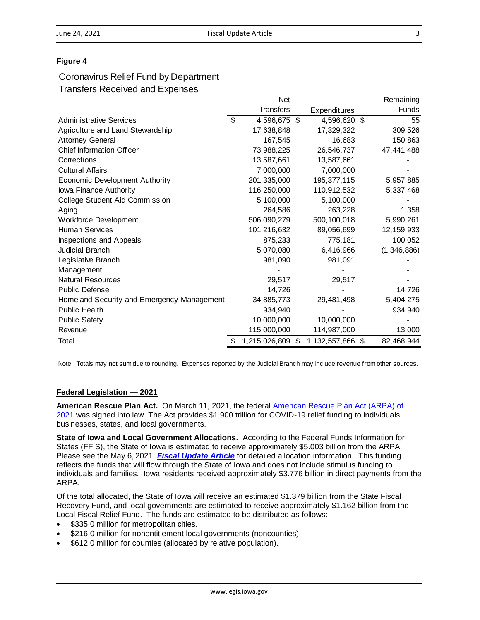## **Figure 4**

# Coronavirus Relief Fund by Department Transfers Received and Expenses

|                                            | <b>Net</b>          |    |                  | Remaining    |
|--------------------------------------------|---------------------|----|------------------|--------------|
|                                            | <b>Transfers</b>    |    | Expenditures     | <b>Funds</b> |
| <b>Administrative Services</b>             | \$<br>4,596,675     | \$ | 4,596,620 \$     | 55           |
| Agriculture and Land Stewardship           | 17,638,848          |    | 17,329,322       | 309,526      |
| <b>Attorney General</b>                    | 167,545             |    | 16,683           | 150,863      |
| <b>Chief Information Officer</b>           | 73,988,225          |    | 26,546,737       | 47,441,488   |
| Corrections                                | 13,587,661          |    | 13,587,661       |              |
| <b>Cultural Affairs</b>                    | 7,000,000           |    | 7,000,000        |              |
| <b>Economic Development Authority</b>      | 201,335,000         |    | 195, 377, 115    | 5,957,885    |
| lowa Finance Authority                     | 116,250,000         |    | 110,912,532      | 5,337,468    |
| College Student Aid Commission             | 5,100,000           |    | 5,100,000        |              |
| Aging                                      | 264,586             |    | 263,228          | 1,358        |
| <b>Workforce Development</b>               | 506,090,279         |    | 500,100,018      | 5,990,261    |
| <b>Human Services</b>                      | 101,216,632         |    | 89,056,699       | 12, 159, 933 |
| Inspections and Appeals                    | 875,233             |    | 775,181          | 100,052      |
| <b>Judicial Branch</b>                     | 5,070,080           |    | 6,416,966        | (1,346,886)  |
| Legislative Branch                         | 981,090             |    | 981,091          |              |
| Management                                 |                     |    |                  |              |
| <b>Natural Resources</b>                   | 29,517              |    | 29,517           |              |
| <b>Public Defense</b>                      | 14,726              |    |                  | 14,726       |
| Homeland Security and Emergency Management | 34,885,773          |    | 29,481,498       | 5,404,275    |
| Public Health                              | 934,940             |    |                  | 934,940      |
| <b>Public Safety</b>                       | 10,000,000          |    | 10,000,000       |              |
| Revenue                                    | 115,000,000         |    | 114,987,000      | 13,000       |
| Total                                      | \$<br>1,215,026,809 | S  | 1,132,557,866 \$ | 82,468,944   |

Note: Totals may not sum due to rounding. Expenses reported by the Judicial Branch may include revenue from other sources.

#### **Federal Legislation — 2021**

**American Rescue Plan Act.** On March 11, 2021, the federal [American Rescue Plan Act \(ARPA\) of](https://www.congress.gov/bill/117th-congress/house-bill/1319/text)  [2021](https://www.congress.gov/bill/117th-congress/house-bill/1319/text) was signed into law. The Act provides \$1.900 trillion for COVID-19 relief funding to individuals, businesses, states, and local governments.

**State of Iowa and Local Government Allocations.** According to the Federal Funds Information for States (FFIS), the State of Iowa is estimated to receive approximately \$5.003 billion from the ARPA. Please see the May 6, 2021, *[Fiscal Update Article](https://www.legis.iowa.gov/docs/publications/BL/1220532.pdf)* for detailed allocation information. This funding reflects the funds that will flow through the State of Iowa and does not include stimulus funding to individuals and families. Iowa residents received approximately \$3.776 billion in direct payments from the ARPA.

Of the total allocated, the State of Iowa will receive an estimated \$1.379 billion from the State Fiscal Recovery Fund, and local governments are estimated to receive approximately \$1.162 billion from the Local Fiscal Relief Fund. The funds are estimated to be distributed as follows:

- \$335.0 million for metropolitan cities.
- \$216.0 million for nonentitlement local governments (noncounties).
- \$612.0 million for counties (allocated by relative population).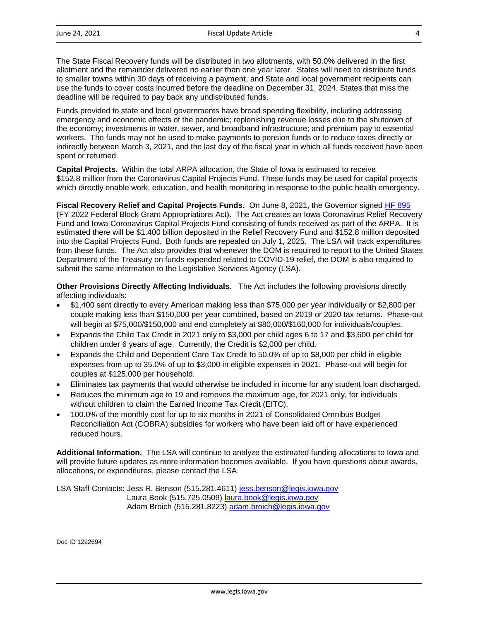The State Fiscal Recovery funds will be distributed in two allotments, with 50.0% delivered in the first allotment and the remainder delivered no earlier than one year later. States will need to distribute funds to smaller towns within 30 days of receiving a payment, and State and local government recipients can use the funds to cover costs incurred before the deadline on December 31, 2024. States that miss the deadline will be required to pay back any undistributed funds.

Funds provided to state and local governments have broad spending flexibility, including addressing emergency and economic effects of the pandemic; replenishing revenue losses due to the shutdown of the economy; investments in water, sewer, and broadband infrastructure; and premium pay to essential workers. The funds may not be used to make payments to pension funds or to reduce taxes directly or indirectly between March 3, 2021, and the last day of the fiscal year in which all funds received have been spent or returned.

**Capital Projects.** Within the total ARPA allocation, the State of Iowa is estimated to receive \$152.8 million from the Coronavirus Capital Projects Fund. These funds may be used for capital projects which directly enable work, education, and health monitoring in response to the public health emergency.

Fiscal Recovery Relief and Capital Projects Funds. On June 8, 2021, the Governor signed [HF 895](https://www.legis.iowa.gov/docs/publications/NOBA/1221305.pdf) (FY 2022 Federal Block Grant Appropriations Act). The Act creates an Iowa Coronavirus Relief Recovery Fund and Iowa Coronavirus Capital Projects Fund consisting of funds received as part of the ARPA. It is estimated there will be \$1.400 billion deposited in the Relief Recovery Fund and \$152.8 million deposited into the Capital Projects Fund. Both funds are repealed on July 1, 2025. The LSA will track expenditures from these funds. The Act also provides that whenever the DOM is required to report to the United States Department of the Treasury on funds expended related to COVID-19 relief, the DOM is also required to submit the same information to the Legislative Services Agency (LSA).

**Other Provisions Directly Affecting Individuals.** The Act includes the following provisions directly affecting individuals:

- \$1,400 sent directly to every American making less than \$75,000 per year individually or \$2,800 per couple making less than \$150,000 per year combined, based on 2019 or 2020 tax returns. Phase-out will begin at \$75,000/\$150,000 and end completely at \$80,000/\$160,000 for individuals/couples.
- Expands the Child Tax Credit in 2021 only to \$3,000 per child ages 6 to 17 and \$3,600 per child for children under 6 years of age. Currently, the Credit is \$2,000 per child.
- Expands the Child and Dependent Care Tax Credit to 50.0% of up to \$8,000 per child in eligible expenses from up to 35.0% of up to \$3,000 in eligible expenses in 2021. Phase-out will begin for couples at \$125,000 per household.
- Eliminates tax payments that would otherwise be included in income for any student loan discharged.
- Reduces the minimum age to 19 and removes the maximum age, for 2021 only, for individuals without children to claim the Earned Income Tax Credit (EITC).
- 100.0% of the monthly cost for up to six months in 2021 of Consolidated Omnibus Budget Reconciliation Act (COBRA) subsidies for workers who have been laid off or have experienced reduced hours.

**Additional Information.** The LSA will continue to analyze the estimated funding allocations to Iowa and will provide future updates as more information becomes available. If you have questions about awards, allocations, or expenditures, please contact the LSA.

LSA Staff Contacts: Jess R. Benson (515.281.4611) [jess.benson@legis.iowa.gov](mailto:jess.benson@legis.iowa.gov) Laura Book (515.725.0509) [laura.book@legis.iowa.gov](mailto:laura.book@legis.iowa.gov) Adam Broich (515.281.8223) [adam.broich@legis.iowa.gov](mailto:adam.broich@legis.iowa.gov)

Doc ID 1222694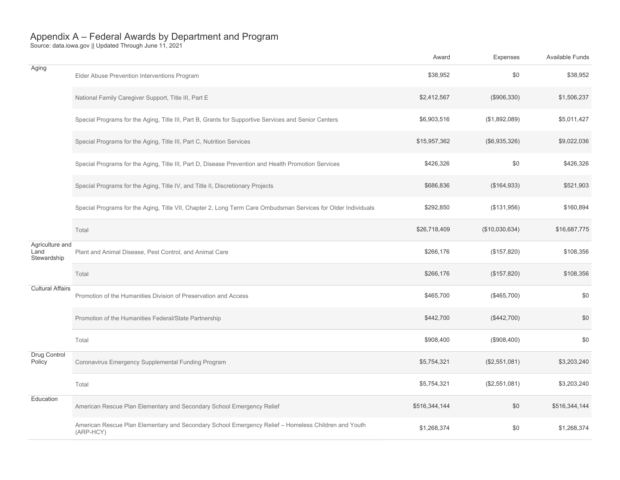|                                        |                                                                                                                  | Award         | Expenses       | Available Funds |
|----------------------------------------|------------------------------------------------------------------------------------------------------------------|---------------|----------------|-----------------|
| Aging                                  | Elder Abuse Prevention Interventions Program                                                                     | \$38,952      | \$0            | \$38,952        |
|                                        | National Family Caregiver Support, Title III, Part E                                                             | \$2,412,567   | (\$906,330)    | \$1,506,237     |
|                                        | Special Programs for the Aging, Title III, Part B, Grants for Supportive Services and Senior Centers             | \$6,903,516   | (\$1,892,089)  | \$5,011,427     |
|                                        | Special Programs for the Aging, Title III, Part C, Nutrition Services                                            | \$15,957,362  | (\$6,935,326)  | \$9,022,036     |
|                                        | Special Programs for the Aging, Title III, Part D, Disease Prevention and Health Promotion Services              | \$426,326     | \$0            | \$426,326       |
|                                        | Special Programs for the Aging, Title IV, and Title II, Discretionary Projects                                   | \$686,836     | (\$164,933)    | \$521,903       |
|                                        | Special Programs for the Aging, Title VII, Chapter 2, Long Term Care Ombudsman Services for Older Individuals    | \$292,850     | (\$131,956)    | \$160,894       |
|                                        | Total                                                                                                            | \$26,718,409  | (\$10,030,634) | \$16,687,775    |
| Agriculture and<br>Land<br>Stewardship | Plant and Animal Disease, Pest Control, and Animal Care                                                          | \$266,176     | (\$157,820)    | \$108,356       |
|                                        | Total                                                                                                            | \$266,176     | (\$157,820)    | \$108,356       |
| <b>Cultural Affairs</b>                | Promotion of the Humanities Division of Preservation and Access                                                  | \$465,700     | (\$465,700)    | \$0             |
|                                        | Promotion of the Humanities Federal/State Partnership                                                            | \$442,700     | (\$442,700)    | \$0             |
|                                        | Total                                                                                                            | \$908,400     | (\$908,400)    | \$0             |
| Drug Control<br>Policy                 | Coronavirus Emergency Supplemental Funding Program                                                               | \$5,754,321   | (\$2,551,081)  | \$3,203,240     |
|                                        | Total                                                                                                            | \$5,754,321   | (\$2,551,081)  | \$3,203,240     |
| Education                              | American Rescue Plan Elementary and Secondary School Emergency Relief                                            | \$516,344,144 | \$0            | \$516,344,144   |
|                                        | American Rescue Plan Elementary and Secondary School Emergency Relief - Homeless Children and Youth<br>(ARP-HCY) | \$1,268,374   | \$0            | \$1,268,374     |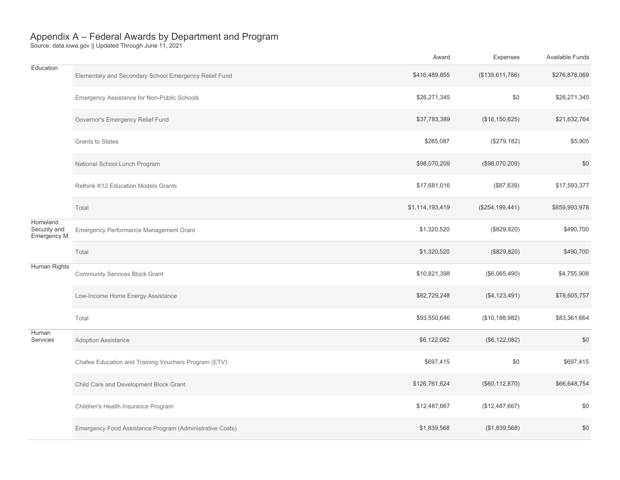|                                          |                                                          | Award           | Expenses          | <b>Available Funds</b> |
|------------------------------------------|----------------------------------------------------------|-----------------|-------------------|------------------------|
| Education                                | Elementary and Secondary School Emergency Relief Fund    | \$416,489,855   | (\$139,611,786)   | \$276,878,069          |
|                                          | Emergency Assistance for Non-Public Schools              | \$26,271,345    | \$0               | \$26,271,345           |
|                                          | Governor's Emergency Relief Fund                         | \$37,783,389    | (\$16, 150, 625)  | \$21,632,764           |
|                                          | Grants to States                                         | \$285,087       | (\$279,182)       | \$5,905                |
|                                          | National School Lunch Program                            | \$98,070,209    | (\$98,070,209)    | \$0                    |
|                                          | Rethink K12 Education Models Grants                      | \$17,681,016    | (\$87,639)        | \$17,593,377           |
|                                          | Total                                                    | \$1,114,193,419 | (\$254, 199, 441) | \$859,993,978          |
| Homeland<br>Security and<br>Emergency M. | Emergency Performance Management Grant                   | \$1,320,520     | (\$829, 820)      | \$490,700              |
|                                          | Total                                                    | \$1,320,520     | (\$829, 820)      | \$490,700              |
| Human Rights                             | <b>Community Services Block Grant</b>                    | \$10,821,398    | (\$6,065,490)     | \$4,755,908            |
|                                          | Low-Income Home Energy Assistance                        | \$82,729,248    | (\$4, 123, 491)   | \$78,605,757           |
|                                          | Total                                                    | \$93,550,646    | (\$10, 188, 982)  | \$83,361,664           |
| Human<br>Services                        | Adoption Assistance                                      | \$6,122,082     | (\$6, 122, 082)   | \$0                    |
|                                          | Chafee Education and Training Vouchers Program (ETV)     | \$697,415       | \$0               | \$697,415              |
|                                          | Child Care and Development Block Grant                   | \$126,761,624   | (\$60, 112, 870)  | \$66,648,754           |
|                                          | Children's Health Insurance Program                      | \$12,487,667    | (\$12,487,667)    | \$0                    |
|                                          | Emergency Food Assistance Program (Administrative Costs) | \$1,839,568     | (\$1,839,568)     | \$0                    |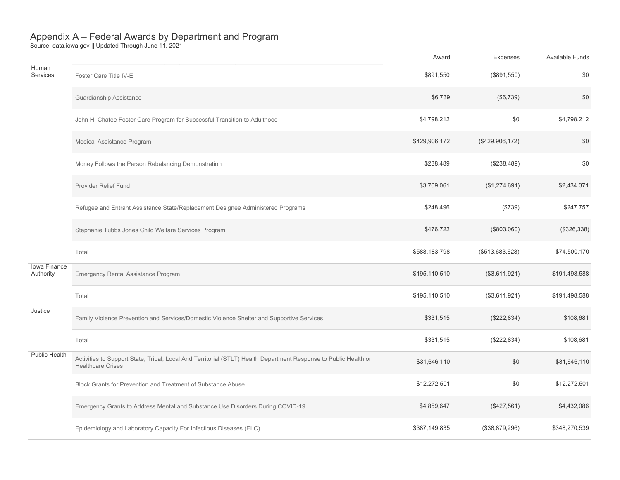|                           |                                                                                                                                              | Award         | Expenses        | <b>Available Funds</b> |
|---------------------------|----------------------------------------------------------------------------------------------------------------------------------------------|---------------|-----------------|------------------------|
| Human<br>Services         | Foster Care Title IV-E                                                                                                                       | \$891,550     | (\$891,550)     | \$0                    |
|                           | Guardianship Assistance                                                                                                                      | \$6,739       | (\$6,739)       | \$0                    |
|                           | John H. Chafee Foster Care Program for Successful Transition to Adulthood                                                                    | \$4,798,212   | \$0             | \$4,798,212            |
|                           | Medical Assistance Program                                                                                                                   | \$429,906,172 | (\$429,906,172) | \$0                    |
|                           | Money Follows the Person Rebalancing Demonstration                                                                                           | \$238,489     | (\$238,489)     | \$0                    |
|                           | Provider Relief Fund                                                                                                                         | \$3,709,061   | (\$1,274,691)   | \$2,434,371            |
|                           | Refugee and Entrant Assistance State/Replacement Designee Administered Programs                                                              | \$248,496     | (\$739)         | \$247,757              |
|                           | Stephanie Tubbs Jones Child Welfare Services Program                                                                                         | \$476,722     | (\$803,060)     | (\$326,338)            |
|                           | Total                                                                                                                                        | \$588,183,798 | (\$513,683,628) | \$74,500,170           |
| Iowa Finance<br>Authority | Emergency Rental Assistance Program                                                                                                          | \$195,110,510 | (\$3,611,921)   | \$191,498,588          |
|                           | Total                                                                                                                                        | \$195,110,510 | (\$3,611,921)   | \$191,498,588          |
| Justice                   | Family Violence Prevention and Services/Domestic Violence Shelter and Supportive Services                                                    | \$331,515     | (\$222,834)     | \$108,681              |
|                           | Total                                                                                                                                        | \$331,515     | (\$222,834)     | \$108,681              |
| Public Health             | Activities to Support State, Tribal, Local And Territorial (STLT) Health Department Response to Public Health or<br><b>Healthcare Crises</b> | \$31,646,110  | \$0             | \$31,646,110           |
|                           | Block Grants for Prevention and Treatment of Substance Abuse                                                                                 | \$12,272,501  | \$0             | \$12,272,501           |
|                           | Emergency Grants to Address Mental and Substance Use Disorders During COVID-19                                                               | \$4,859,647   | (\$427,561)     | \$4,432,086            |
|                           | Epidemiology and Laboratory Capacity For Infectious Diseases (ELC)                                                                           | \$387,149,835 | (\$38,879,296)  | \$348,270,539          |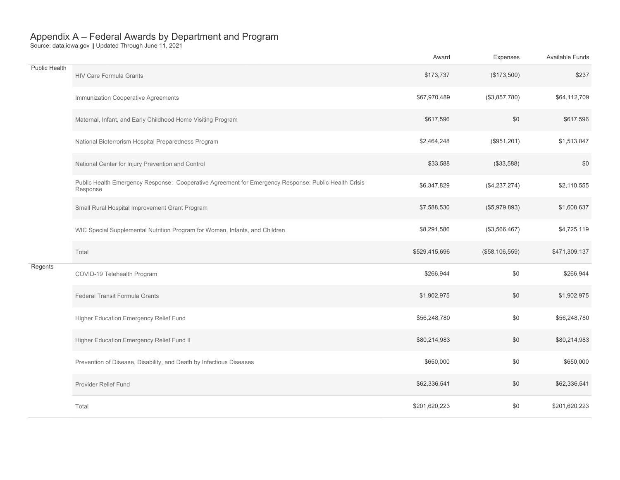|               |                                                                                                                  | Award         | Expenses       | Available Funds |
|---------------|------------------------------------------------------------------------------------------------------------------|---------------|----------------|-----------------|
| Public Health | HIV Care Formula Grants                                                                                          | \$173,737     | (\$173,500)    | \$237           |
|               | Immunization Cooperative Agreements                                                                              | \$67,970,489  | (\$3,857,780)  | \$64,112,709    |
|               | Maternal, Infant, and Early Childhood Home Visiting Program                                                      | \$617,596     | \$0            | \$617,596       |
|               | National Bioterrorism Hospital Preparedness Program                                                              | \$2,464,248   | (\$951,201)    | \$1,513,047     |
|               | National Center for Injury Prevention and Control                                                                | \$33,588      | (\$33,588)     | \$0             |
|               | Public Health Emergency Response: Cooperative Agreement for Emergency Response: Public Health Crisis<br>Response | \$6,347,829   | (\$4,237,274)  | \$2,110,555     |
|               | Small Rural Hospital Improvement Grant Program                                                                   | \$7,588,530   | (\$5,979,893)  | \$1,608,637     |
|               | WIC Special Supplemental Nutrition Program for Women, Infants, and Children                                      | \$8,291,586   | (\$3,566,467)  | \$4,725,119     |
|               | Total                                                                                                            | \$529,415,696 | (\$58,106,559) | \$471,309,137   |
| Regents       | COVID-19 Telehealth Program                                                                                      | \$266,944     | \$0            | \$266,944       |
|               | Federal Transit Formula Grants                                                                                   | \$1,902,975   | \$0            | \$1,902,975     |
|               | Higher Education Emergency Relief Fund                                                                           | \$56,248,780  | \$0            | \$56,248,780    |
|               | Higher Education Emergency Relief Fund II                                                                        | \$80,214,983  | \$0            | \$80,214,983    |
|               | Prevention of Disease, Disability, and Death by Infectious Diseases                                              | \$650,000     | \$0            | \$650,000       |
|               | Provider Relief Fund                                                                                             | \$62,336,541  | \$0            | \$62,336,541    |
|               | Total                                                                                                            | \$201,620,223 | \$0            | \$201.620.223   |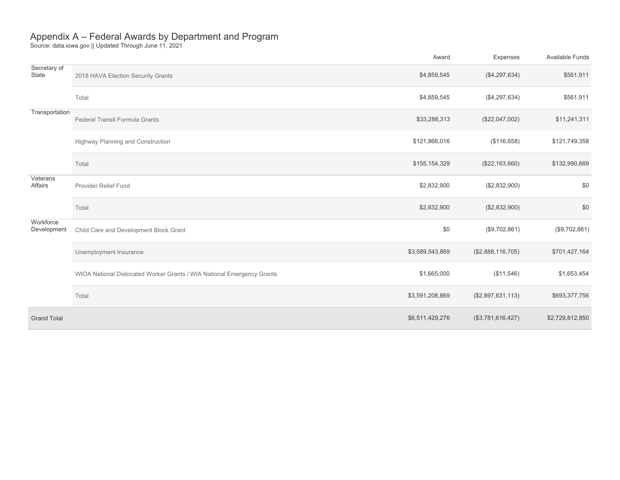|                          |                                                                        | Award           | Expenses          | Available Funds |
|--------------------------|------------------------------------------------------------------------|-----------------|-------------------|-----------------|
| Secretary of<br>State    | 2018 HAVA Election Security Grants                                     | \$4,859,545     | (\$4,297,634)     | \$561,911       |
|                          | Total                                                                  | \$4,859,545     | (\$4,297,634)     | \$561,911       |
| Transportation           | Federal Transit Formula Grants                                         | \$33,288,313    | (\$22,047,002)    | \$11,241,311    |
|                          | Highway Planning and Construction                                      | \$121,866,016   | (\$116,658)       | \$121,749,358   |
|                          | Total                                                                  | \$155,154,329   | (\$22,163,660)    | \$132,990,669   |
| Veterans<br>Affairs      | Provider Relief Fund                                                   | \$2,832,900     | (\$2,832,900)     | \$0             |
|                          | Total                                                                  | \$2,832,900     | (\$2,832,900)     | \$0             |
| Workforce<br>Development | Child Care and Development Block Grant                                 | \$0             | (\$9,702,861)     | (\$9,702,861)   |
|                          | Unemployment Insurance                                                 | \$3,589,543,869 | (\$2,888,116,705) | \$701,427,164   |
|                          | WIOA National Dislocated Worker Grants / WIA National Emergency Grants | \$1,665,000     | (\$11,546)        | \$1,653,454     |
|                          | Total                                                                  | \$3,591,208,869 | (\$2,897,831,113) | \$693,377,756   |
| <b>Grand Total</b>       |                                                                        | \$6,511,429,276 | (\$3,781,616,427) | \$2,729,812,850 |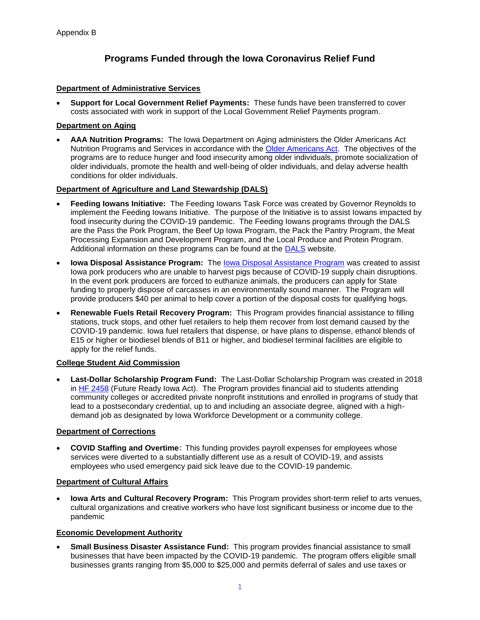# **Programs Funded through the Iowa Coronavirus Relief Fund**

#### **Department of Administrative Services**

• **Support for Local Government Relief Payments:** These funds have been transferred to cover costs associated with work in support of the Local Government Relief Payments program.

#### **Department on Aging**

• **AAA Nutrition Programs:** The Iowa Department on Aging administers the Older Americans Act Nutrition Programs and Services in accordance with the [Older Americans Act.](https://www.ncoa.org/public-policy-action/older-americans-act/) The objectives of the programs are to reduce hunger and food insecurity among older individuals, promote socialization of older individuals, promote the health and well-being of older individuals, and delay adverse health conditions for older individuals.

#### **Department of Agriculture and Land Stewardship (DALS)**

- **Feeding Iowans Initiative:** The Feeding Iowans Task Force was created by Governor Reynolds to implement the Feeding Iowans Initiative. The purpose of the Initiative is to assist Iowans impacted by food insecurity during the COVID-19 pandemic.The Feeding Iowans programs through the DALS are the Pass the Pork Program, the Beef Up Iowa Program, the Pack the Pantry Program, the Meat Processing Expansion and Development Program, and the Local Produce and Protein Program. Additional information on these programs can be found at the [DALS](https://iowaagriculture.gov/) website.
- **Iowa Disposal Assistance Program:** The [Iowa Disposal Assistance Program](https://iowaagriculture.gov/idap) was created to assist Iowa pork producers who are unable to harvest pigs because of COVID-19 supply chain disruptions. In the event pork producers are forced to euthanize animals, the producers can apply for State funding to properly dispose of carcasses in an environmentally sound manner. The Program will provide producers \$40 per animal to help cover a portion of the disposal costs for qualifying hogs.
- **Renewable Fuels Retail Recovery Program:** This Program provides financial assistance to filling stations, truck stops, and other fuel retailers to help them recover from lost demand caused by the COVID-19 pandemic. Iowa fuel retailers that dispense, or have plans to dispense, ethanol blends of E15 or higher or biodiesel blends of B11 or higher, and biodiesel terminal facilities are eligible to apply for the relief funds.

#### **College Student Aid Commission**

• **Last-Dollar Scholarship Program Fund:** The Last-Dollar Scholarship Program was created in 2018 in [HF 2458](https://www.legis.iowa.gov/docs/publications/LGE/87/HF2458.pdf) (Future Ready Iowa Act). The Program provides financial aid to students attending community colleges or accredited private nonprofit institutions and enrolled in programs of study that lead to a postsecondary credential, up to and including an associate degree, aligned with a highdemand job as designated by Iowa Workforce Development or a community college.

#### **Department of Corrections**

• **COVID Staffing and Overtime**: This funding provides payroll expenses for employees whose services were diverted to a substantially different use as a result of COVID-19, and assists employees who used emergency paid sick leave due to the COVID-19 pandemic.

## **Department of Cultural Affairs**

• **Iowa Arts and Cultural Recovery Program:** This Program provides short-term relief to arts venues, cultural organizations and creative workers who have lost significant business or income due to the pandemic

#### **Economic Development Authority**

• **Small Business Disaster Assistance Fund:** This program provides financial assistance to small businesses that have been impacted by the COVID-19 pandemic. The program offers eligible small businesses grants ranging from \$5,000 to \$25,000 and permits deferral of sales and use taxes or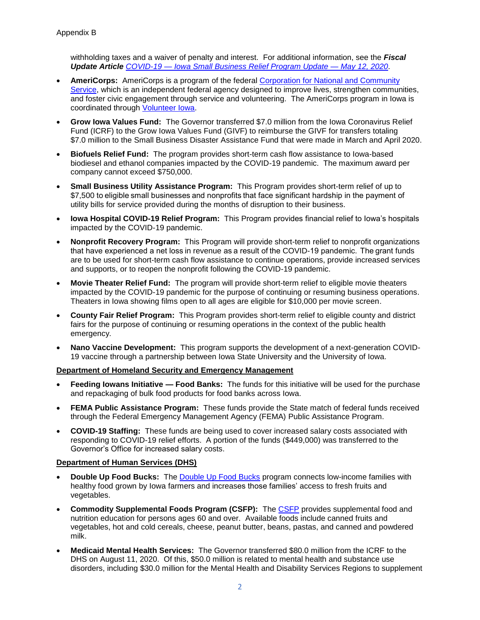withholding taxes and a waiver of penalty and interest. For additional information, see the *Fiscal Update Article COVID-19 — [Iowa Small Business Relief Program Update —](https://www.legis.iowa.gov/docs/publications/BL/1136287.pdf) May 12, 2020*.

- **AmeriCorps:** AmeriCorps is a program of the federal [Corporation for National and Community](https://www.nationalservice.gov/)  [Service,](https://www.nationalservice.gov/) which is an independent federal agency designed to improve lives, strengthen communities, and foster civic engagement through service and volunteering. The AmeriCorps program in Iowa is coordinated through [Volunteer Iowa.](https://www.legis.iowa.gov/docs/publications/BL/1136431.pdf)
- **Grow Iowa Values Fund:** The Governor transferred \$7.0 million from the Iowa Coronavirus Relief Fund (ICRF) to the Grow Iowa Values Fund (GIVF) to reimburse the GIVF for transfers totaling \$7.0 million to the Small Business Disaster Assistance Fund that were made in March and April 2020.
- **Biofuels Relief Fund:** The program provides short-term cash flow assistance to Iowa-based biodiesel and ethanol companies impacted by the COVID-19 pandemic. The maximum award per company cannot exceed \$750,000.
- **Small Business Utility Assistance Program:** This Program provides short-term relief of up to \$7,500 to eligible small businesses and nonprofits that face significant hardship in the payment of utility bills for service provided during the months of disruption to their business.
- **Iowa Hospital COVID-19 Relief Program:** This Program provides financial relief to Iowa's hospitals impacted by the COVID-19 pandemic.
- **Nonprofit Recovery Program:** This Program will provide short-term relief to nonprofit organizations that have experienced a net loss in revenue as a result of the COVID-19 pandemic.  The grant funds are to be used for short-term cash flow assistance to continue operations, provide increased services and supports, or to reopen the nonprofit following the COVID-19 pandemic.
- **Movie Theater Relief Fund:** The program will provide short-term relief to eligible movie theaters impacted by the COVID-19 pandemic for the purpose of continuing or resuming business operations. Theaters in Iowa showing films open to all ages are eligible for \$10,000 per movie screen.
- **County Fair Relief Program:** This Program provides short-term relief to eligible county and district fairs for the purpose of continuing or resuming operations in the context of the public health emergency.
- **Nano Vaccine Development:** This program supports the development of a next-generation COVID-19 vaccine through a partnership between Iowa State University and the University of Iowa.

#### **Department of Homeland Security and Emergency Management**

- **Feeding Iowans Initiative — Food Banks:** The funds for this initiative will be used for the purchase and repackaging of bulk food products for food banks across Iowa.
- **FEMA Public Assistance Program:** These funds provide the State match of federal funds received through the Federal Emergency Management Agency (FEMA) Public Assistance Program.
- **COVID-19 Staffing:** These funds are being used to cover increased salary costs associated with responding to COVID-19 relief efforts. A portion of the funds (\$449,000) was transferred to the Governor's Office for increased salary costs.

#### **Department of Human Services (DHS)**

- **Double Up Food Bucks:** The [Double Up Food Bucks](http://www.iowahealthieststate.com/resources/communities/double-up-food-bucks/) program connects low-income families with healthy food grown by Iowa farmers and increases those families' access to fresh fruits and vegetables.
- **Commodity Supplemental Foods Program (CSFP):** The [CSFP](https://dhs.iowa.gov/food-assistance/related-programs/commodity-program) provides supplemental food and nutrition education for persons ages 60 and over. Available foods include canned fruits and vegetables, hot and cold cereals, cheese, peanut butter, beans, pastas, and canned and powdered milk.
- **Medicaid Mental Health Services:** The Governor transferred \$80.0 million from the ICRF to the DHS on August 11, 2020. Of this, \$50.0 million is related to mental health and substance use disorders, including \$30.0 million for the Mental Health and Disability Services Regions to supplement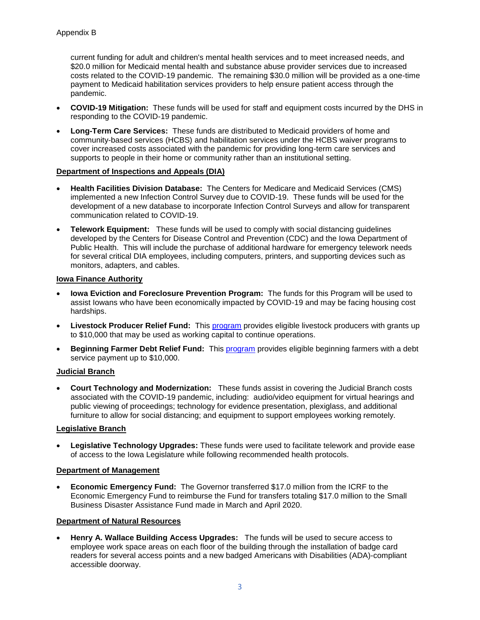current funding for adult and children's mental health services and to meet increased needs, and \$20.0 million for Medicaid mental health and substance abuse provider services due to increased costs related to the COVID-19 pandemic. The remaining \$30.0 million will be provided as a one-time payment to Medicaid habilitation services providers to help ensure patient access through the pandemic.

- **COVID-19 Mitigation:** These funds will be used for staff and equipment costs incurred by the DHS in responding to the COVID-19 pandemic.
- **Long-Term Care Services:** These funds are distributed to Medicaid providers of home and community-based services (HCBS) and habilitation services under the HCBS waiver programs to cover increased costs associated with the pandemic for providing long-term care services and supports to people in their home or community rather than an institutional setting.

## **Department of Inspections and Appeals (DIA)**

- **Health Facilities Division Database:** The Centers for Medicare and Medicaid Services (CMS) implemented a new Infection Control Survey due to COVID-19. These funds will be used for the development of a new database to incorporate Infection Control Surveys and allow for transparent communication related to COVID-19.
- **Telework Equipment:** These funds will be used to comply with social distancing guidelines developed by the Centers for Disease Control and Prevention (CDC) and the Iowa Department of Public Health. This will include the purchase of additional hardware for emergency telework needs for several critical DIA employees, including computers, printers, and supporting devices such as monitors, adapters, and cables.

#### **Iowa Finance Authority**

- **Iowa Eviction and Foreclosure Prevention Program:** The funds for this Program will be used to assist Iowans who have been economically impacted by COVID-19 and may be facing housing cost hardships.
- **Livestock Producer Relief Fund:** This [program](https://www.iowaeconomicdevelopment.com/ag-relief#beginningfarmer) provides eligible livestock producers with grants up to \$10,000 that may be used as working capital to continue operations.
- **Beginning Farmer Debt Relief Fund:** This [program](https://www.iowaeconomicdevelopment.com/ag-relief#beginningfarmer) provides eligible beginning farmers with a debt service payment up to \$10,000.

## **Judicial Branch**

• **Court Technology and Modernization:** These funds assist in covering the Judicial Branch costs associated with the COVID-19 pandemic, including: audio/video equipment for virtual hearings and public viewing of proceedings; technology for evidence presentation, plexiglass, and additional furniture to allow for social distancing; and equipment to support employees working remotely.

## **Legislative Branch**

• **Legislative Technology Upgrades:** These funds were used to facilitate telework and provide ease of access to the Iowa Legislature while following recommended health protocols.

## **Department of Management**

• **Economic Emergency Fund:** The Governor transferred \$17.0 million from the ICRF to the Economic Emergency Fund to reimburse the Fund for transfers totaling \$17.0 million to the Small Business Disaster Assistance Fund made in March and April 2020.

## **Department of Natural Resources**

• **Henry A. Wallace Building Access Upgrades:** The funds will be used to secure access to employee work space areas on each floor of the building through the installation of badge card readers for several access points and a new badged Americans with Disabilities (ADA)-compliant accessible doorway.